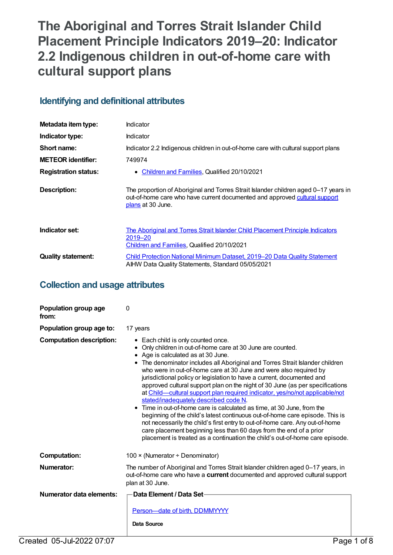# **The Aboriginal and Torres Strait Islander Child Placement Principle Indicators 2019–20: Indicator 2.2 Indigenous children in out-of-home care with cultural support plans**

# **Identifying and definitional attributes**

| Metadata item type:         | Indicator                                                                                                                                                                              |
|-----------------------------|----------------------------------------------------------------------------------------------------------------------------------------------------------------------------------------|
| Indicator type:             | Indicator                                                                                                                                                                              |
| Short name:                 | Indicator 2.2 Indigenous children in out-of-home care with cultural support plans                                                                                                      |
| <b>METEOR identifier:</b>   | 749974                                                                                                                                                                                 |
| <b>Registration status:</b> | Children and Families, Qualified 20/10/2021<br>$\bullet$                                                                                                                               |
| <b>Description:</b>         | The proportion of Aboriginal and Torres Strait Islander children aged 0-17 years in<br>out-of-home care who have current documented and approved cultural support<br>plans at 30 June. |
| Indicator set:              | The Aboriginal and Torres Strait Islander Child Placement Principle Indicators<br>2019–20<br>Children and Families, Qualified 20/10/2021                                               |
| <b>Quality statement:</b>   | <b>Child Protection National Minimum Dataset, 2019–20 Data Quality Statement</b><br>AIHW Data Quality Statements, Standard 05/05/2021                                                  |

# **Collection and usage attributes**

| Population group age<br>from:   | 0                                                                                                                                                                                                                                                                                                                                                                                                                                                                                                                                                                                                                                                                                                                                                                                                                                                                                                                                                                             |
|---------------------------------|-------------------------------------------------------------------------------------------------------------------------------------------------------------------------------------------------------------------------------------------------------------------------------------------------------------------------------------------------------------------------------------------------------------------------------------------------------------------------------------------------------------------------------------------------------------------------------------------------------------------------------------------------------------------------------------------------------------------------------------------------------------------------------------------------------------------------------------------------------------------------------------------------------------------------------------------------------------------------------|
| Population group age to:        | 17 years                                                                                                                                                                                                                                                                                                                                                                                                                                                                                                                                                                                                                                                                                                                                                                                                                                                                                                                                                                      |
| <b>Computation description:</b> | • Each child is only counted once.<br>Only children in out-of-home care at 30 June are counted.<br>Age is calculated as at 30 June.<br>• The denominator includes all Aboriginal and Torres Strait Islander children<br>who were in out-of-home care at 30 June and were also required by<br>jurisdictional policy or legislation to have a current, documented and<br>approved cultural support plan on the night of 30 June (as per specifications<br>at Child—cultural support plan required indicator, yes/no/not applicable/not<br>stated/inadequately described code N.<br>• Time in out-of-home care is calculated as time, at 30 June, from the<br>beginning of the child's latest continuous out-of-home care episode. This is<br>not necessarily the child's first entry to out-of-home care. Any out-of-home<br>care placement beginning less than 60 days from the end of a prior<br>placement is treated as a continuation the child's out-of-home care episode. |
| <b>Computation:</b>             | 100 × (Numerator ÷ Denominator)                                                                                                                                                                                                                                                                                                                                                                                                                                                                                                                                                                                                                                                                                                                                                                                                                                                                                                                                               |
| Numerator:                      | The number of Aboriginal and Torres Strait Islander children aged 0-17 years, in<br>out-of-home care who have a current documented and approved cultural support<br>plan at 30 June.                                                                                                                                                                                                                                                                                                                                                                                                                                                                                                                                                                                                                                                                                                                                                                                          |
| Numerator data elements:        | ∙Data Element / Data Set∙<br>Person-date of birth, DDMMYYYY<br><b>Data Source</b>                                                                                                                                                                                                                                                                                                                                                                                                                                                                                                                                                                                                                                                                                                                                                                                                                                                                                             |
| Created 05-Jul-2022 07:07       | Page 1 of 8                                                                                                                                                                                                                                                                                                                                                                                                                                                                                                                                                                                                                                                                                                                                                                                                                                                                                                                                                                   |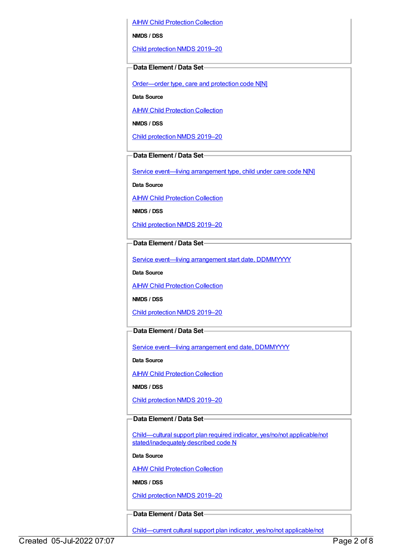AIHW Child [Protection](https://meteor.aihw.gov.au/content/489543) Collection

**NMDS / DSS**

Child [protection](https://meteor.aihw.gov.au/content/740158) NMDS 2019–20

#### **Data Element / Data Set**

[Order—order](https://meteor.aihw.gov.au/content/657300) type, care and protection code N[N]

**Data Source**

**AIHW Child [Protection](https://meteor.aihw.gov.au/content/489543) Collection** 

**NMDS / DSS**

Child [protection](https://meteor.aihw.gov.au/content/740158) NMDS 2019–20

## **Data Element / Data Set**

Service event—living [arrangement](https://meteor.aihw.gov.au/content/689331) type, child under care code N[N]

**Data Source**

**AIHW Child [Protection](https://meteor.aihw.gov.au/content/489543) Collection** 

**NMDS / DSS**

Child [protection](https://meteor.aihw.gov.au/content/740158) NMDS 2019–20

**Data Element / Data Set**

Service event—living [arrangement](https://meteor.aihw.gov.au/content/474217) start date, DDMMYYYY

**Data Source**

**AIHW Child [Protection](https://meteor.aihw.gov.au/content/489543) Collection** 

**NMDS / DSS**

Child [protection](https://meteor.aihw.gov.au/content/740158) NMDS 2019–20

### **Data Element / Data Set**

Service event-living [arrangement](https://meteor.aihw.gov.au/content/474223) end date, DDMMYYYY

**Data Source**

AIHW Child [Protection](https://meteor.aihw.gov.au/content/489543) Collection

**NMDS / DSS**

Child [protection](https://meteor.aihw.gov.au/content/740158) NMDS 2019–20

## **Data Element / Data Set**

Child—cultural support plan required indicator, yes/no/not applicable/not [stated/inadequately](https://meteor.aihw.gov.au/content/529655) described code N

**Data Source**

**AIHW Child [Protection](https://meteor.aihw.gov.au/content/489543) Collection** 

**NMDS / DSS**

Child [protection](https://meteor.aihw.gov.au/content/740158) NMDS 2019–20

### **Data Element / Data Set**

[Child—current](https://meteor.aihw.gov.au/content/529663) cultural support plan indicator, yes/no/not applicable/not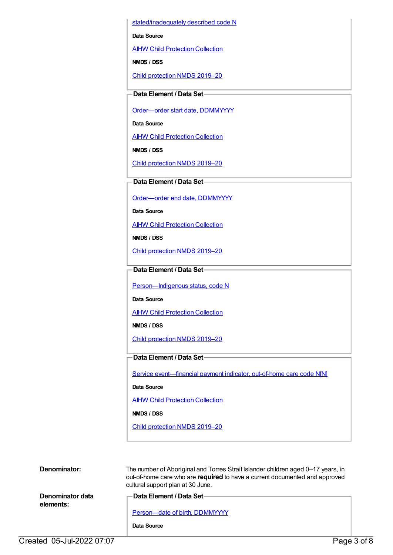stated/inadequately described code N

**Data Source**

**AIHW Child [Protection](https://meteor.aihw.gov.au/content/489543) Collection** 

**NMDS / DSS**

Child [protection](https://meteor.aihw.gov.au/content/740158) NMDS 2019–20

## **Data Element / Data Set**

[Order—order](https://meteor.aihw.gov.au/content/536550) start date, DDMMYYYY

**Data Source**

AIHW Child [Protection](https://meteor.aihw.gov.au/content/489543) Collection

**NMDS / DSS**

Child [protection](https://meteor.aihw.gov.au/content/740158) NMDS 2019–20

## **Data Element / Data Set**

[Order—order](https://meteor.aihw.gov.au/content/536554) end date, DDMMYYYY

**Data Source**

**AIHW Child [Protection](https://meteor.aihw.gov.au/content/489543) Collection** 

**NMDS / DSS**

Child [protection](https://meteor.aihw.gov.au/content/740158) NMDS 2019–20

## **Data Element / Data Set**

[Person—Indigenous](https://meteor.aihw.gov.au/content/602543) status, code N

**Data Source**

**AIHW Child [Protection](https://meteor.aihw.gov.au/content/489543) Collection** 

**NMDS / DSS**

Child [protection](https://meteor.aihw.gov.au/content/740158) NMDS 2019–20

### **Data Element / Data Set**

Service [event—financial](https://meteor.aihw.gov.au/content/652697) payment indicator, out-of-home care code N[N]

#### **Data Source**

AIHW Child [Protection](https://meteor.aihw.gov.au/content/489543) Collection

**NMDS / DSS**

Child [protection](https://meteor.aihw.gov.au/content/740158) NMDS 2019–20

| Denominator: | The numbe    |
|--------------|--------------|
|              | out-of-hom   |
|              | cultural sup |
|              |              |

**Denominator data elements:**

#### er of Aboriginal and Torres Strait Islander children aged 0–17 years, in e care who are **required** to have a current documented and approved pport plan at 30 June.

**Data Element / Data Set**

Person-date of birth, DDMMYYYY

**Data Source**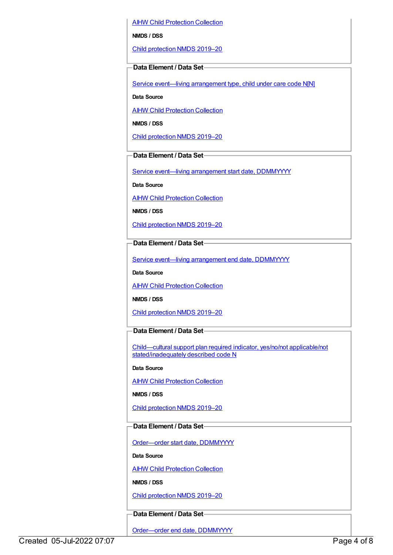AIHW Child [Protection](https://meteor.aihw.gov.au/content/489543) Collection

**NMDS / DSS**

Child [protection](https://meteor.aihw.gov.au/content/740158) NMDS 2019–20

#### **Data Element / Data Set**

Service event—living [arrangement](https://meteor.aihw.gov.au/content/689331) type, child under care code N[N]

**Data Source**

**AIHW Child [Protection](https://meteor.aihw.gov.au/content/489543) Collection** 

**NMDS / DSS**

Child [protection](https://meteor.aihw.gov.au/content/740158) NMDS 2019–20

### **Data Element / Data Set**

Service event—living [arrangement](https://meteor.aihw.gov.au/content/474217) start date, DDMMYYYY

**Data Source**

AIHW Child [Protection](https://meteor.aihw.gov.au/content/489543) Collection

**NMDS / DSS**

Child [protection](https://meteor.aihw.gov.au/content/740158) NMDS 2019–20

#### **Data Element / Data Set**

Service event—living [arrangement](https://meteor.aihw.gov.au/content/474223) end date, DDMMYYYY

**Data Source**

**AIHW Child [Protection](https://meteor.aihw.gov.au/content/489543) Collection** 

**NMDS / DSS**

Child [protection](https://meteor.aihw.gov.au/content/740158) NMDS 2019–20

### **Data Element / Data Set**

Child—cultural support plan required indicator, yes/no/not applicable/not [stated/inadequately](https://meteor.aihw.gov.au/content/529655) described code N

**Data Source**

**AIHW Child [Protection](https://meteor.aihw.gov.au/content/489543) Collection** 

**NMDS / DSS**

Child [protection](https://meteor.aihw.gov.au/content/740158) NMDS 2019–20

## **Data Element / Data Set**

[Order—order](https://meteor.aihw.gov.au/content/536550) start date, DDMMYYYY

**Data Source**

**AIHW Child [Protection](https://meteor.aihw.gov.au/content/489543) Collection** 

**NMDS / DSS**

Child [protection](https://meteor.aihw.gov.au/content/740158) NMDS 2019–20

## **Data Element / Data Set**

[Order—order](https://meteor.aihw.gov.au/content/536554) end date, DDMMYYYY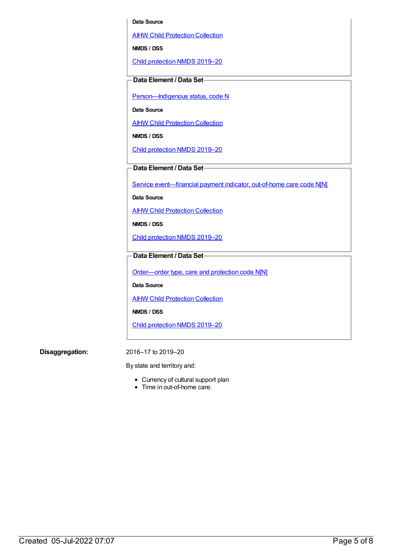#### **Data Source**

AIHW Child [Protection](https://meteor.aihw.gov.au/content/489543) Collection

**NMDS / DSS**

Child [protection](https://meteor.aihw.gov.au/content/740158) NMDS 2019–20

#### **Data Element / Data Set**

Person-Indigenous status, code N

**Data Source**

AIHW Child [Protection](https://meteor.aihw.gov.au/content/489543) Collection

**NMDS / DSS**

Child [protection](https://meteor.aihw.gov.au/content/740158) NMDS 2019–20

**Data Element / Data Set**

Service [event—financial](https://meteor.aihw.gov.au/content/652697) payment indicator, out-of-home care code N[N]

**Data Source**

**AIHW Child [Protection](https://meteor.aihw.gov.au/content/489543) Collection** 

**NMDS / DSS**

Child [protection](https://meteor.aihw.gov.au/content/740158) NMDS 2019–20

## **Data Element / Data Set**

[Order—order](https://meteor.aihw.gov.au/content/657300) type, care and protection code N[N]

**Data Source**

**AIHW Child [Protection](https://meteor.aihw.gov.au/content/489543) Collection** 

**NMDS / DSS**

Child [protection](https://meteor.aihw.gov.au/content/740158) NMDS 2019–20

**Disaggregation:** 2016–17 to 2019–20

By state and territory and:

- Currency of cultural support plan
- Time in out-of-home care.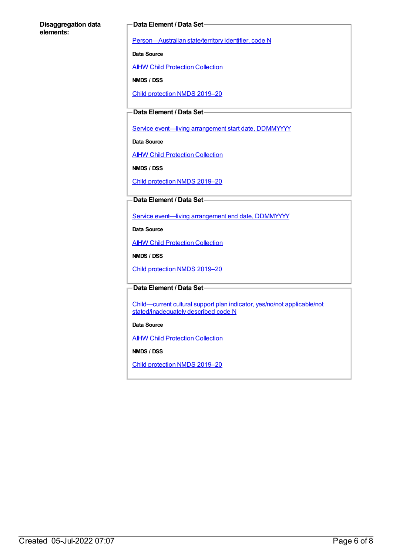#### **Disaggregation data elements:**

#### **Data Element / Data Set**

[Person—Australian](https://meteor.aihw.gov.au/content/286919) state/territory identifier, code N

**Data Source**

**AIHW Child [Protection](https://meteor.aihw.gov.au/content/489543) Collection** 

**NMDS / DSS**

Child [protection](https://meteor.aihw.gov.au/content/740158) NMDS 2019–20

## **Data Element / Data Set**

Service event-living [arrangement](https://meteor.aihw.gov.au/content/474217) start date, DDMMYYYY

**Data Source**

**AIHW Child [Protection](https://meteor.aihw.gov.au/content/489543) Collection** 

**NMDS / DSS**

Child [protection](https://meteor.aihw.gov.au/content/740158) NMDS 2019–20

#### **Data Element / Data Set**

Service event—living [arrangement](https://meteor.aihw.gov.au/content/474223) end date, DDMMYYYY

**Data Source**

**AIHW Child [Protection](https://meteor.aihw.gov.au/content/489543) Collection** 

**NMDS / DSS**

Child [protection](https://meteor.aihw.gov.au/content/740158) NMDS 2019–20

#### **Data Element / Data Set**

Child—current cultural support plan indicator, yes/no/not applicable/not [stated/inadequately](https://meteor.aihw.gov.au/content/529663) described code N

#### **Data Source**

**AIHW Child [Protection](https://meteor.aihw.gov.au/content/489543) Collection** 

**NMDS / DSS**

Child [protection](https://meteor.aihw.gov.au/content/740158) NMDS 2019–20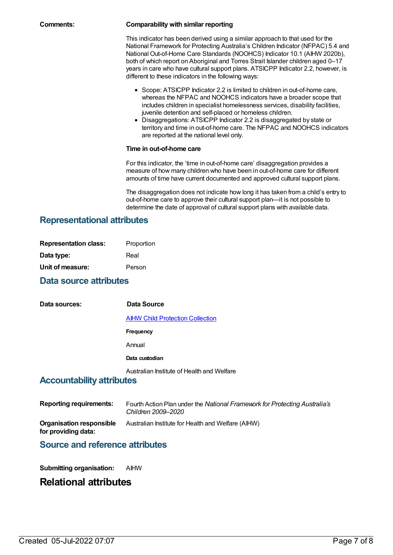#### **Comments: Comparability with similar reporting**

This indicator has been derived using a similar approach to that used for the National Framework for Protecting Australia's Children Indicator (NFPAC) 5.4 and National Out-of-Home Care Standards (NOOHCS) Indicator 10.1 (AIHW 2020b), both of which report on Aboriginal and Torres Strait Islander children aged 0-17 years in care who have cultural support plans. ATSICPP Indicator 2.2, however, is different to these indicators in the following ways:

- Scope: ATSICPP Indicator 2.2 is limited to children in out-of-home care, whereas the NFPAC and NOOHCS indicators have a broader scope that includes children in specialist homelessness services, disability facilities, juvenile detention and self-placed or homeless children.
- Disaggregations: ATSICPP Indicator 2.2 is disaggregated by state or territory and time in out-of-home care. The NFPAC and NOOHCS indicators are reported at the national level only.

#### **Time in out-of-home care**

For this indicator, the 'time in out-of-home care' disaggregation provides a measure of how many children who have been in out-of-home care for different amounts of time have current documented and approved cultural support plans.

The disaggregation does not indicate how long it has taken from a child's entry to out-of-home care to approve their cultural support plan—it is not possible to determine the date of approval of cultural support plans with available data.

# **Representational attributes**

| <b>Representation class:</b> | Proportion |
|------------------------------|------------|
| Data type:                   | Real       |
| Unit of measure:             | Person     |

## **Data source attributes**

**Data sources: Data Source** AIHW Child [Protection](https://meteor.aihw.gov.au/content/489543) Collection **Frequency** Annual **Data custodian** Australian Institute of Health and Welfare **Accountability attributes**

| <b>Reporting requirements:</b>                  | Fourth Action Plan under the National Framework for Protecting Australia's<br>Children 2009–2020 |
|-------------------------------------------------|--------------------------------------------------------------------------------------------------|
| Organisation responsible<br>for providing data: | Australian Institute for Health and Welfare (AIHW)                                               |

# **Source and reference attributes**

**Submitting organisation:** AIHW

# **Relational attributes**